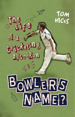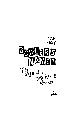# TOM HICKS The go

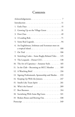# **Contents**

| 1.  |                                                                          |
|-----|--------------------------------------------------------------------------|
|     | 2. Growing Up on the Village Green 31                                    |
| 3.  |                                                                          |
| 4.  |                                                                          |
|     | 5. Some Real Legends. 94                                                 |
| 6.  | An Englishman, Irishman and Scotsman meet on<br>a tropical island<br>100 |
| 7.  | 106                                                                      |
| 8.  | Switching Codes - Some Rugby-Related Tales 125                           |
| 9.  | The Leopards - Dorset CCC. 138                                           |
| 10. | The Art of Captaincy - Amateur Style 165                                 |
| 11. | In the Club - Becoming an MCC Member 189                                 |
| 12. | A Watching Brief. 216                                                    |
| 13. | Signing Professionals, Sponsorship and Skodas 233                        |
| 14. | Keeping Up With the Joneses. 247                                         |
| 15. | Smells Like Team Spirit 261                                              |
| 16. | Who's the Fastest? $\ldots \ldots \ldots \ldots \ldots \ldots 289$       |
| 17. |                                                                          |
| 18. | Socialising With Some Big Guns 321                                       |
| 19. | Broken Bones and Bowing Out. 338                                         |
|     |                                                                          |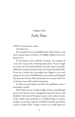# Chapter One Early Days

THIS IS a book about cricket.

And about me.

If you picked it up, you probably know what cricket is, and there's a good chance you like it. It's highly unlikely you've ever heard of me.

If I am honest, I am a nobody. A statistic. An occupant of a very low rung on the cricketing food chain. If you Google my name you will find hundreds of articles about the multimillionaire American former owner of Liverpool Football Club. If you are a cricket fan, you might have slipped as you were typing in the name of Zimbabwean run-machine and England Test batsman Graeme Hick and landed on my name. But if we are honest, I am really utterly anonymous.

So what on earth makes me think I'm qualified to write a book about cricket?

Well, firstly, I'm not a totally terrible cricketer. And although you've never heard of me, I managed for a good 25 years to rub shoulders with some of the game's greats, and to play on some of the world's finest grounds as I shuffled along in cricket's margins. As a former captain of Oxford University and Dorset County Cricket Club, I made a career in a world which no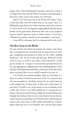longer exists. After fossilising for decades, university cricket is no longer first-class and the Minor Counties Championship is also now a relic. I guess that makes me a dinosaur.

And yet I've led teams out at the Home of Cricket; I have a first-class fifty and five-wicket haul to my name; there is a Wikipedia page about me which someone must have written; I've been sworn at by Test legends; nightclubbed with the fastest bowler of his generation; showered with one of my England heroes; shared cigarettes with an Ashes winner. I even have a World Cup winner's medal on my mantelpiece. And more.

I may still be a dinosaur, but I'm a dinosaur with a tale to tell.

## **The Best Team in the World**

I'm not entirely sure where my passion for cricket came from, but I certainly became obsessed with the game from an early age, completing mini-projects at home on the Ashes, reading Bradman's *The Art of Cricket* and *Barclays World of Cricket* cover-to-cover, as well as any other cricket literature I could get my hands on. I suspect I covered some ground which was not age-appropriate, dipping into the autobiographies of Ian Botham, Phil Edmonds and others, and many of the jokes flew above my head. But it was a world I wanted to be part of.

I was found one summer holiday with my nose deep in a book on cricket I'd found in the boot of the car, unaware that this was intended as a birthday present for me which had yet to be wrapped up. In those days, if there was cricket about, in any form, I'd sniff it out. Early photos of me on holiday show a little boy of five or six fully padded up in roasting heat in France. My parents tell of being scolded by French families who thought they had put their son into some kind of torture device, rather than him pretending to be David Gower, and forcing any relative who came close to offer endless throwdowns. Another photo shows me next to my brother, who won the fancy-dress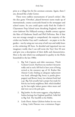prize at a village fete for his caveman costume. Again, there I am, dressed like a baby Gower.

There were endless tournaments of 'pencil cricket', like the dice game 'Owzthat', played between teams made up of internationals, county scorecards found in the newspaper and school teams. So you could quite easily find the Under-11 Clayesmore Prep School team thrashing England, with our *victor ludorum* Nic Hillyard scoring a double century against the likes of Gladstone Small and Phil DeFreitas. But if that was not strange enough to comprehend, the majority of the cricket my brother Guy and I conducted – on paper or in the garden – was by using our vast array of soft toys and teddy bears as the cricketing All Stars. So detailed and ingrained was our imaginary world, that I can still recite the Toys' first XI now and give you a description of their skills and characteristics. Here is the side which was undisputed in quality in the Hicks household in the late 1980s:

- 1. Big Ted: Captain and elder statesman. Think Graham Gooch. Had been my mother's favourite teddy and as such, fell foul in later years of being retired at the statutory age of 18. Rather like Alastair Cook, finding an adequate replacement was hard, although Big Sooty (a panda glovepuppet) and Brown Sooty (no relation) both had a go. Big Ted actually had a proper bat made for him by our lovely neighbour, Bob, which doubled up for late-night indoor games when mum and dad were out at the pub quiz.
- 2. Big Jumbo: As the name suggests, a big elephant. Indian heritage but England qualified. Solid foil to Big Ted. The Sutcliffe to his Hobbs.
- 3. Little Florri: Adam Gilchrist before he was even a thing. Little Florence was a miniature finger-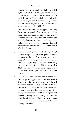puppet frog, who combined being a stylish right-handed bat with being an extremely agile wicketkeeper. Like several of this team, he also made it into the Toys football team and rugby team (oh yes, we had these as well, as goalkeeper and scrum-half respectively). Quite literally, the greatest sportsman since C.B. Fry.

- 4. Little Sooty: Another finger puppet. Little Sooty fitted into the pouch of the aforementioned Big Sooty, but outplayed his big brother (the toy designers were probably thinking more mother and baby, but what were we to care?) Dependable right-hander in the mould of Graeme Hick, with the occasional off-spin to boot. Became captain after Big Ted's retirement.
- 5. Crums: The only girl to make the team, although I think this probably made us quite progressive considering the era. Crums was a tiger glove puppet bought at Longleat, who channelled Ian Botham – big hitting but without the tearaway pace of the 1981 vintage. Think that spell in Melbourne in 1986 when he strangled a fivewicket haul bowling at 'gnat's pace'. A gamechanger.
- 6. Goonie: Goonie was one of my brother's favourite toys. A glove-puppet gorilla and boyfriend to Crums, who bowled at the speed of light with the action of Ezra Moseley. Would usually take the new ball, although the Toys' West Indian pace barrage was as feared as even the greatest fourpronged attack the real Caribbean ever produced. Goonie probably batted too high at No.6, but offered a left-handed variation to the top order. The only issue with this being that both Guy and I are right-handed.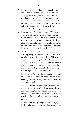- 7. Bommer: A late addition to the squad, given to me on the eve of the Oval Test in 1989 (when Alan Igglesden and John Stephenson were about the thousandth people to get an Ashes cap that summer). Bommer was a walrus who also bowled fast with a high, chest-on action. I think I was going for something like Martin Bicknell but quicker when deciding on this one.
- 8. Brownie: Also fast. Bowled like Jeff Thomson, with a high front leg and slingy action – unmistakeable. Hailed from a combination of the Caribbean and County Armagh. Clearly I'd picked up some of the news stories of the time, as we came up with the tragic narrative of Brownie Bear's parents being killed by the IRA.
- 9. Wonkwing: So-called because he was a bird with a wonky wing. Fast-medium but like the bowler on whom he was fashioned – Terry Alderman – deadly. Always one to go for when the Gooch-like Big Ted was batting … Wonky went everywhere with me – on tour, to university. A real good-luck mascot, whose shape meant he didn't play rugby for the Toys, but acted as the ball itself.
- 10. Little Munk: Another finger puppet. This one was Malcolm Marshall, which was perfect as the bending run-up was required to negotiate the shape of our patio.
- 11. Whistle: Steady off-spinner and tortoise. Spin was not a big feature of the Toys' team, which is surprising since Guy and I both went on to bowl off-spin. A small garden does not lend itself to tweakers, though, and who wants to bowl spin anyway?
- 12. Little Jumbo: Recognising the need for leg-spin, Little Jumbo was our one concession to this, but as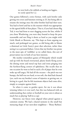we were both a bit rubbish at landing our leggies, we rarely opted for L.J.

Our games followed a strict format, with each bowler only getting two overs and batsmen retiring at 25, but being able to resume the innings once the other brother had had their turn. You had to bowl and bat in the manner which was appropriate to the agreed skills of that player. That is, if you had chosen Big Ted, it was bad form to start slogging across the line, whilst if you chose Wonkwing, you were duty bound to keep the pace reasonable and not fling it down as hard as you might with Little Munk or Brownie, say. This kept us from arguing too much, and prolonged our games, as did being able to blame a dismissal on Little Sooty's poor shot selection, rather than seeing it as a personal failure. Given that my brother was prone to the most epic of 'wobblies' as we called them, this sort of preservation was in both of our best interests.

My mother remembers games of Monopoly which would end up with the board overturned, plastic hotels flying across the dining room and metal top hats and irons pinging into the furthest-flung corners of upholstery. She recalls that on one occasion he went to bed in such a fit of pique that he even woke up still angry. He had all the excuses – the pitch was too bumpy, the ball was too hard, or too soft, the shed had cheated (yes, such was my brother's sense of injustice at getting out, or letting in a goal, that he felt inanimate objects had come alive, simply to conspire against him).

So when it came to garden sport, for me it *was* about winning (when is it ever not?), but this was balanced with an understanding that cricket or football on your own is about as much fun as playing 'ball-in-a-cup'.

However, our forces were aligned when pitted against a common enemy. We had a shared nemesis in the small but menacing shape of our next-door neighbour – 'Bossy Barbara'.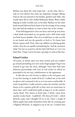Barbara was about 4ft, with wispy hair – on her chin, that is – and an even shorter fuse than my impatient younger sibling. And yet she was married to the kindest, gentlest soul: Bob, who would often fill us with chilled Robinsons Barley Water whilst helping us make wooden toys in his shed. Barbara on the other hand seemed delivered from Satan to be the scourge of any young boy who had the audacity to want to have fun in her vicinity.

If the ball happened to clear our fence and end up next door, a dark shade descended on our garden and a chill wind made our little hearts shudder. One of us would have to take our life in our hands and run the gauntlet to fetch it. It's funny how history repeats itself. Now, when my children are playing garden cricket, they face an equally intimidating foe. And do you know what? I'm just as scared to ask for their ball back as I ever was back then. I hope I never become a grumpy so-and-so like that.

### **School Cricket**

Of course, at school, sport was more serious and you couldn't go around pretending you were some finger-puppet frog if you wanted to get into the team, although I have later had some hilarious partnerships with Guy in real cricket in which we pretended to be our toys, unbeknownst to the opposition.

It did take me a bit of time to adjust to the real game and, in my first innings at under-10 level, I walked out to bat with no gloves and continued to do so as it was more comfortable. It wasn't long before I really started to enjoy the matches and the choice to be a spinner paid off, as there were no restrictions in those days, and I could bowl spells as long as I, or the teacher/ coach, liked. The choice to bowl spin, I think, came from another cricket book – Ladybird's *The Story of Cricket* – which showed a grip, and I thought I'd try it out. Once a couple of fellow pupils had made themselves look silly by running past a flighted off-break, or chipped it up in the air, I realised that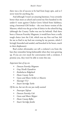there was a lot of success to be had from loopy spin, and so I never went for anything else.

And although I wasn't an amazing batsman, I was certainly better than most at school and scored my first hundred in the under-11 team against Chafyn Grove School from Salisbury, using a borrowed GM Striker – the even better version of the Maestro, which was the go-to bat of choice in the school kit bag (although the County Turbo was not far behind). Had there been a Duncan Fearnley Magnum, it would have been a really tough choice (not the Colt, which was my first real bat, left for me to find in my bed one evening by my parents, which I lovingly linseeded and sanded, and knocked in for hours, much to their displeasure).

Real cricket aficionados can tell a cricketer's era from the bats they remember being fashionable when they were growing up. If you are ever stuck for conversation with a cricketer, I promise you, they won't be able to resist this one.

# *Important bats of my era*

- *• Duncan Fearnley Magnum*
- *• Gray Nicolls Dynadrive*
- *• Kookaburra Ridgeback*
- *• Hunts County Turbo*
- *• Gunn and Moore Striker or Maestro*
- *• Slazenger V12*
- *• Stuart Surridge Turbo*

*Of the era, but not the one you really wanted*

- *• Powerspot Tufcoat*
- *• Duncan Fearnley Colt*
- *• Gunn and Moore Skipper*
- *• Hunts County Reflex*
- *• Stuart Surridge Jumbo*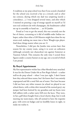A tradition at my prep school was that if you scored a hundred for the school you received a bat as a reward, and so after my century, during which my dad was umpiring (surely a coincidence…), I was dropped several times, and after which I insisted on pouring a cup of orange squash on myself as I'd seen real cricketers do with champagne, the headmaster called me up in assembly to hand me … an SS Jumbo.

Proud as I was to get the award, this was certainly not the bat of choice, screaming as it did of middle-order Indian nohoper, rather than what a GM Maestro might have done for my street-cred, making me more into a Steve Waugh-type player. And these things matter when you are 11.

Nonetheless, I did put the Jumbo into action later that season for my county team, using it to score an unbeaten (although certainly not chanceless) ton against Somerset at Taunton School. This remains the only time I scored three figures under a county banner at any age, not a record of which I am proud.

# **By Royal Appointment**

My first representative wicket has a blue-blooded story attached. It was for the Dorset Under-10s at Port Regis School – a rather well-to-do prep school – when I was just eight. I don't know how they selected these teams, but I do know that I was entirely unprepared and felt a total fish out of water. Not least because I did not have any white trousers (at school we played in our school shorts, with a white shirt instead of the normal grey), my jumper had been knitted by my grandma and my boots were full rubbers with a rather natty frill over the laces. They were, in fact, golf shoes bought from a local charity shop, but it took meeting my team-mates, who all seemed to have the requisite gear, with sewn-on badges and no knobbly knees in sight, to make me realise it.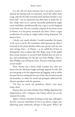It is all a bit of a hazy memory, but I am pretty certain I opened the batting with an enormous, jovial lad called Andy Long, who hit the ball extremely hard and later bowled a very heavy ball – not an expression you often hear at under-10s. In fact, Andy went on to a pretty successful professional rugby career with Bath, and did actually win a cap or two for England in the front row. He was certainly a legend of the junior scene in Dorset, so I was pretty starstruck even then. I have a vague recollection of scoring six singles before being dismissed. No duck at least.

I doubt very much whether I would remember this game at all, were it not for the excitement which greeted me when I returned to the picnic blanket where my parents and my nan were sitting. Nan – or Nanny – as we called her (I have to distinguish, since at places like Port Regis, most of the pupils have actual nannies, or *au pairs*) had clocked that our next to bat, and wicketkeeper for the day was Peter Phillips. That is, Peter Phillips, son of Princess Anne. Not just cricketing royalty, actual royalty!

Now, Nanny was a feisty south London lass, who was known for her Sid James laugh and huge appetite for life. She was not going to let this opportunity go begging, and so whilst the poor lad was waiting for his turn to bat, she marched around the boundary to where he stood and promptly addressed the Queen's grandson with the question:

'I'm here to watch my grandson, where's your gran today, then?'

History does not relate whether Peter Phillips dignified this impertinence with a response, but Nanny dined out on the moment for weeks.

Again, I barely remember bowling on that day, although I do have a picture somewhere of me in my shorts, tongue out, delivering some embryonic off-spin in this game. What I do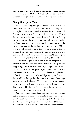know is that somewhere there may still exist a scorecard which reads 'Stumped HRH Peter Phillips (*sic)*, Bowled Hicks'. I've watched every episode of *The Crown* vainly expecting a cameo.

# **Young Guns go on Tour**

My bowling was going great guns, and at Under-13 level, I took more than 50 wickets in a season for Dorset, including sevenand eight-wicket hauls, as well as five-fers for fun. I even took five wickets in my first 'international' match, for the West of England against the Netherlands, back at Port Regis. Playing for the region was the next step on what today would be called the 'player pathway', and I was selected to go on tour with the West of England to the Caribbean in the winter of 1993/94. There is still no feeling quite like opening a letter which has a team-sheet with your name on it, and the excitement was palpable. Not least for mum and dad, who could see a tropical holiday looming for the first time since they'd had kids.

This was when you really did start feeling like professional cricket might be a realistic future for you. Things started happening, like residential training camps where former players would come and speak to you about subjects such as the 'mental side of the game' which you'd never thought about before. I seem to remember Chris Old giving up his Christmas Eve to address the squad in the meeting room of a Travelodge somewhere near Bridgwater. There is a certain sort of modern tragedy in this, particularly considering the last I heard of Chris Old – hero of Headingley 1981 – was that he was working on the tills in a supermarket in Cornwall.

You had to keep a food diary, training plans were handed out on photocopied paper, with ideas for fitness work as well as the obvious batting, bowling and fielding drills. Some players even had sponsorship deals with bat companies and the chat was all about what sort of discount you were on (most companies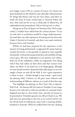were happy to give 25% as a matter of course, if it meant you spent hundreds on the whole kit and caboodle). Measurements for things like blazers and tour kit were taken, and when we made the final of many round-trips to Taunton before the tour, there laid out for us was a whole pile of official kit, all embroidered and personalised. Did we feel special, or what?

Flying out to Port-of-Spain on Christmas Day 1993 to play cricket, I couldn't have asked Santa for a better present. To say we took time to acclimatise would be a huge understatement. Up until then, my only experience of touring was the three-day Under-11 festival in Cornwall, and there's not much similarity between Truro and Trinidad.

Whilst we had been prepared for the experience in the manner of young professionals, it appeared the memo had not reached the locals, as the grounds we played at were typically ramshackle, with poorly prepared pitches and outfields of long, coarse grass. We were resplendent in our pristine new whites, fresh out of the cellophane, whilst our opponents were doing well if they had collars on their shirts and their trainers were white, not black. It was hard not to be disparaging, although we soon found ourselves chastened when play began as we were taught a lesson on and off the field. It was a great experience to show us how – clichéd though it may sound – sport levels the playing field. I believe we all grew more tolerant and understanding of different cultures as a result of that first trip.

The highlight was playing on New Year's Day at Queen's Park Oval – the famous old Test arena in Trinidad. It was a huge honour to be selected to walk out and play on a ground where England were due in a few weeks' time, and also an honour to be presented to Trinidad's greatest son, Brian Charles Lara. We had seen Lara practising in the nets as we arrived and he was hot off the back of making his name with a stunning doublehundred in Australia. When he walked down the line, shaking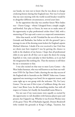our hands, we were not to know that he was about to change cricketing history during that England tour. Nor was I to know that my next meeting with the world record-breaker would be in altogether different circumstances, several years later.

In the opposition that day was another future West Indies star – Daren Ganga – whom I dropped from a simple caughtand-bowled. Fair play to Daren, he went on to make more of his opportunity to play professional cricket than I did, with a smattering of Test caps and a career as a respected commentator.

After that match, we left Trinidad for the rest of the tour in Grenada and Barbados, but before we left the ground I put a message in one of the dressing room lockers for England captain Michael Atherton. I doubt if he ever received it, but I feel that act shows just how inspired I was by getting the chance to walk in the shadows of my heroes. I hope that all professional clubs in any sport do all they can to open the doors for young hopefuls to visit, train and play in their facilities, as it can fuel the imagination like nothing else. That the memory is still there for me is testament to that.

I was also excited on that tour to meet Larry Gomes – the West Indies batsman, who was well known to me from our wellworn VHS *On Top Down Under*, charting the one-day success of the England side in Australia on the 1986/87 Ashes tour. Gomes appeared one morning at our hotel, for no apparent reason, and came right up to our group with the welcome: 'Hi, I'm Larry Gomes.' I'm not sure if this is just a Caribbean thing; the next time I met Brian Lara, he did something similar, but with all respect to Gomes, he's hardly the household name Brian is.

I'm not sure if my team-mates were equally as excited by the opportunity to rub shoulders with famous players past and present, but I lapped it up. Whether it was Everton Weekes (one of the great Three Ws of Barbados legend), Dennis Breakwell (who tended the grounds at King's College, Taunton, but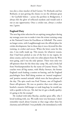was also a close mucker of Joel Garner, Viv Richards and Ian Botham), or just getting the chance to see the ultimate great – Sir Garfield Sobers – across the pavilion in Bridgetown, I always felt the glow of reflected stardom and would seek it out at any opportunity. Once a cricket nut, always a cricket nut, I guess.

# **England Duty**

The next big-ticket selection for an aspiring young player during my teenage years was to make it into the winter training camp at the National Centre for Excellence at Lilleshall. The centre no longer exists, with Loughborough now the official place for cricket development, but in those days it was a byword for elite training, in cricket and soccer. When the letter came for this one, I was really made up. This meant, for whatever reason, that I had been picked as one of the best in my region, let alone county, and in fact only two other players from the West were going, and I was the only spinner. There were only two off-spinners there for the three-day camp. Me, and a lively lad from Northamptonshire by the name of Graeme Swann. The coaches were all big names, with Micky Stewart, the former England coach leading a session on batting, and the England psychologist Steve Bull doing sessions on 'mental toughness' and 'positive mental attitude' which were the buzz-phrases of the day. The spin coach was Fred Titmus, one of England's finest off-spinners. He was so positive that even when you bowled a massive full-bunger or rank long-hop, he would say, with a sparkle in his eye, 'Ah, lad, but it's got a deadly quality; it's going to hit the stumps!'

He worked with John Barclay, another great offie, who I loved working with, too. We really were very fortunate. I don't remember much about Graeme at that stage other than his charisma and self-belief. I was probably a bit intimidated as well;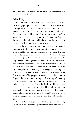this was a guy I thought would definitely play for England, at least in our year group.

# **School Days**

Meanwhile, my day-to-day cricket took place at school and for the age groups in Dorset. School was for the most part at Clayesmore, a small but beautiful private school, less wellknown than its local counterparts, Bryanston, Canford and Sherborne. If you add Milton Abbey into this mix, you have some of the loveliest cricket grounds in the south of England. Private school pupils have no idea how lucky they are playing on manicured grounds in gorgeous settings.

 I was lucky enough to have a cricket-lover for a deputy headmaster in the form of Roger Denning, a former Durham student and left-arm spinner, whose sons were also cricket-mad and lived a few doors away from us on the school site after dad took up the post of housemaster. I wouldn't underestimate the importance of having ready net partners for long afternoons and weekends of practice, as well as the free use of all the school facilities. I don't think my parents saw us during our free time for a few years, and I bet they were delighted! Denning was great: not only would he happily send anyone playing for the first team out of his geography lessons to put the boundary flags out, but he also took the unprecedented step of extending the cow-corner boundary by ten metres on one side, purely as he recognised that my flighted off-spin would draw many batsmen into holing out on the slog. How right he was – we stationed our best catcher there and even in my first year at senior school (year nine equivalent), I took 30 wickets, with at least ten caught where in previous years the ball would have gone for six.

I was also lucky enough to open the batting with a promising young player who was making waves in the school cricket world.